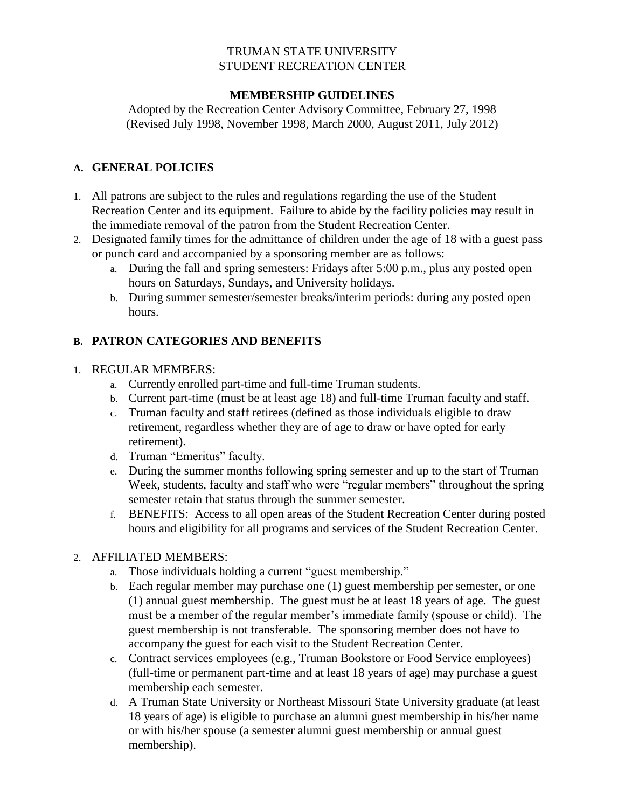### TRUMAN STATE UNIVERSITY STUDENT RECREATION CENTER

# **MEMBERSHIP GUIDELINES**

Adopted by the Recreation Center Advisory Committee, February 27, 1998 (Revised July 1998, November 1998, March 2000, August 2011, July 2012)

# **A. GENERAL POLICIES**

- 1. All patrons are subject to the rules and regulations regarding the use of the Student Recreation Center and its equipment. Failure to abide by the facility policies may result in the immediate removal of the patron from the Student Recreation Center.
- 2. Designated family times for the admittance of children under the age of 18 with a guest pass or punch card and accompanied by a sponsoring member are as follows:
	- a. During the fall and spring semesters: Fridays after 5:00 p.m., plus any posted open hours on Saturdays, Sundays, and University holidays.
	- b. During summer semester/semester breaks/interim periods: during any posted open hours.

# **B. PATRON CATEGORIES AND BENEFITS**

# 1. REGULAR MEMBERS:

- a. Currently enrolled part-time and full-time Truman students.
- b. Current part-time (must be at least age 18) and full-time Truman faculty and staff.
- c. Truman faculty and staff retirees (defined as those individuals eligible to draw retirement, regardless whether they are of age to draw or have opted for early retirement).
- d. Truman "Emeritus" faculty.
- e. During the summer months following spring semester and up to the start of Truman Week, students, faculty and staff who were "regular members" throughout the spring semester retain that status through the summer semester.
- f. BENEFITS: Access to all open areas of the Student Recreation Center during posted hours and eligibility for all programs and services of the Student Recreation Center.

# 2. AFFILIATED MEMBERS:

- a. Those individuals holding a current "guest membership."
- b. Each regular member may purchase one (1) guest membership per semester, or one (1) annual guest membership. The guest must be at least 18 years of age. The guest must be a member of the regular member's immediate family (spouse or child). The guest membership is not transferable. The sponsoring member does not have to accompany the guest for each visit to the Student Recreation Center.
- c. Contract services employees (e.g., Truman Bookstore or Food Service employees) (full-time or permanent part-time and at least 18 years of age) may purchase a guest membership each semester.
- d. A Truman State University or Northeast Missouri State University graduate (at least 18 years of age) is eligible to purchase an alumni guest membership in his/her name or with his/her spouse (a semester alumni guest membership or annual guest membership).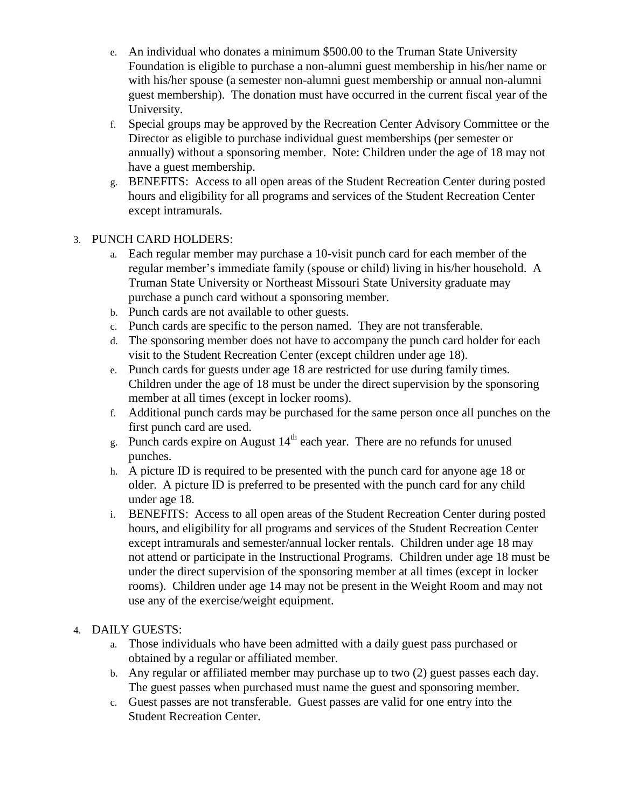- e. An individual who donates a minimum \$500.00 to the Truman State University Foundation is eligible to purchase a non-alumni guest membership in his/her name or with his/her spouse (a semester non-alumni guest membership or annual non-alumni guest membership). The donation must have occurred in the current fiscal year of the University.
- f. Special groups may be approved by the Recreation Center Advisory Committee or the Director as eligible to purchase individual guest memberships (per semester or annually) without a sponsoring member. Note: Children under the age of 18 may not have a guest membership.
- g. BENEFITS: Access to all open areas of the Student Recreation Center during posted hours and eligibility for all programs and services of the Student Recreation Center except intramurals.

# 3. PUNCH CARD HOLDERS:

- a. Each regular member may purchase a 10-visit punch card for each member of the regular member's immediate family (spouse or child) living in his/her household. A Truman State University or Northeast Missouri State University graduate may purchase a punch card without a sponsoring member.
- b. Punch cards are not available to other guests.
- c. Punch cards are specific to the person named. They are not transferable.
- d. The sponsoring member does not have to accompany the punch card holder for each visit to the Student Recreation Center (except children under age 18).
- e. Punch cards for guests under age 18 are restricted for use during family times. Children under the age of 18 must be under the direct supervision by the sponsoring member at all times (except in locker rooms).
- f. Additional punch cards may be purchased for the same person once all punches on the first punch card are used.
- g. Punch cards expire on August  $14<sup>th</sup>$  each year. There are no refunds for unused punches.
- h. A picture ID is required to be presented with the punch card for anyone age 18 or older. A picture ID is preferred to be presented with the punch card for any child under age 18.
- i. BENEFITS: Access to all open areas of the Student Recreation Center during posted hours, and eligibility for all programs and services of the Student Recreation Center except intramurals and semester/annual locker rentals. Children under age 18 may not attend or participate in the Instructional Programs. Children under age 18 must be under the direct supervision of the sponsoring member at all times (except in locker rooms). Children under age 14 may not be present in the Weight Room and may not use any of the exercise/weight equipment.

# 4. DAILY GUESTS:

- a. Those individuals who have been admitted with a daily guest pass purchased or obtained by a regular or affiliated member.
- b. Any regular or affiliated member may purchase up to two (2) guest passes each day. The guest passes when purchased must name the guest and sponsoring member.
- c. Guest passes are not transferable. Guest passes are valid for one entry into the Student Recreation Center.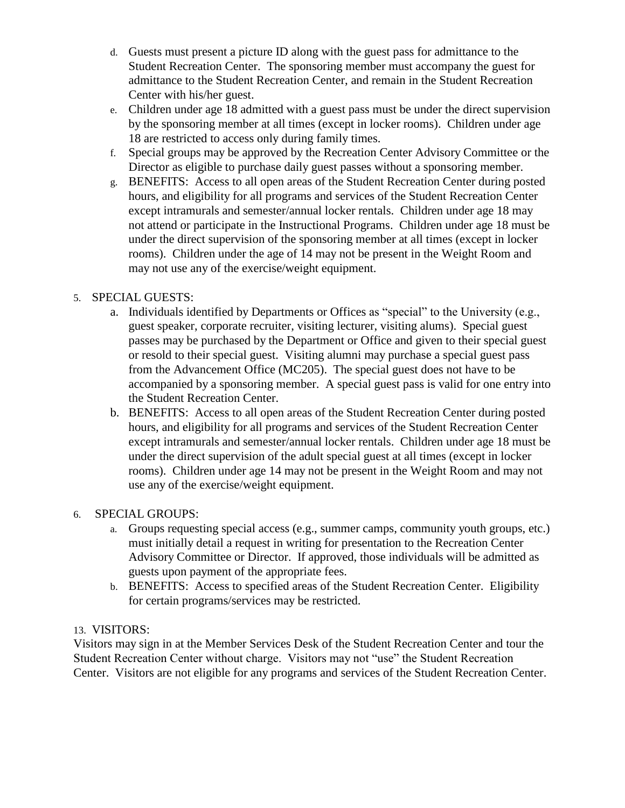- d. Guests must present a picture ID along with the guest pass for admittance to the Student Recreation Center. The sponsoring member must accompany the guest for admittance to the Student Recreation Center, and remain in the Student Recreation Center with his/her guest.
- e. Children under age 18 admitted with a guest pass must be under the direct supervision by the sponsoring member at all times (except in locker rooms). Children under age 18 are restricted to access only during family times.
- f. Special groups may be approved by the Recreation Center Advisory Committee or the Director as eligible to purchase daily guest passes without a sponsoring member.
- g. BENEFITS: Access to all open areas of the Student Recreation Center during posted hours, and eligibility for all programs and services of the Student Recreation Center except intramurals and semester/annual locker rentals. Children under age 18 may not attend or participate in the Instructional Programs. Children under age 18 must be under the direct supervision of the sponsoring member at all times (except in locker rooms). Children under the age of 14 may not be present in the Weight Room and may not use any of the exercise/weight equipment.
- 5. SPECIAL GUESTS:
	- a. Individuals identified by Departments or Offices as "special" to the University (e.g., guest speaker, corporate recruiter, visiting lecturer, visiting alums). Special guest passes may be purchased by the Department or Office and given to their special guest or resold to their special guest. Visiting alumni may purchase a special guest pass from the Advancement Office (MC205). The special guest does not have to be accompanied by a sponsoring member. A special guest pass is valid for one entry into the Student Recreation Center.
	- b. BENEFITS: Access to all open areas of the Student Recreation Center during posted hours, and eligibility for all programs and services of the Student Recreation Center except intramurals and semester/annual locker rentals. Children under age 18 must be under the direct supervision of the adult special guest at all times (except in locker rooms). Children under age 14 may not be present in the Weight Room and may not use any of the exercise/weight equipment.

# 6. SPECIAL GROUPS:

- a. Groups requesting special access (e.g., summer camps, community youth groups, etc.) must initially detail a request in writing for presentation to the Recreation Center Advisory Committee or Director. If approved, those individuals will be admitted as guests upon payment of the appropriate fees.
- b. BENEFITS: Access to specified areas of the Student Recreation Center. Eligibility for certain programs/services may be restricted.

# 13. VISITORS:

Visitors may sign in at the Member Services Desk of the Student Recreation Center and tour the Student Recreation Center without charge. Visitors may not "use" the Student Recreation Center. Visitors are not eligible for any programs and services of the Student Recreation Center.